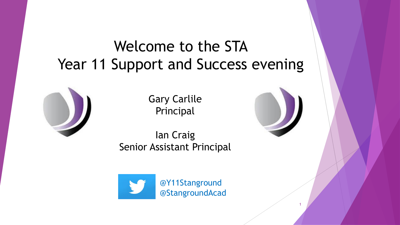### Welcome to the STA Year 11 Support and Success evening



Gary Carlile Principal

Ian Craig Senior Assistant Principal





1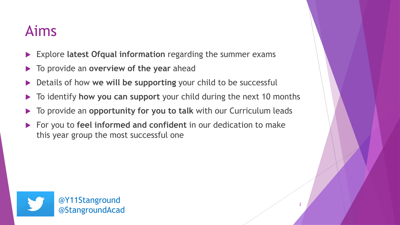### Aims

- Explore **latest Ofqual information** regarding the summer exams
- To provide an **overview of the year** ahead
- Details of how **we will be supporting** your child to be successful
- To identify **how you can support** your child during the next 10 months
- To provide an **opportunity for you to talk** with our Curriculum leads
- For you to **feel informed and confident** in our dedication to make this year group the most successful one

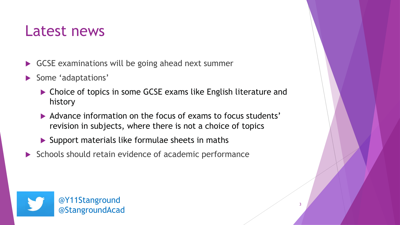#### Latest news

- GCSE examinations will be going ahead next summer
- Some 'adaptations'
	- ▶ Choice of topics in some GCSE exams like English literature and history
	- Advance information on the focus of exams to focus students' revision in subjects, where there is not a choice of topics
	- $\blacktriangleright$  Support materials like formulae sheets in maths
- $\triangleright$  Schools should retain evidence of academic performance

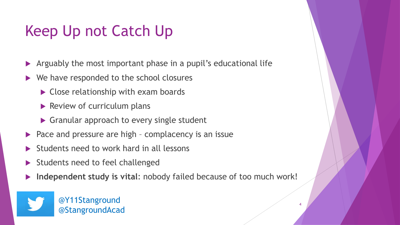## Keep Up not Catch Up

- Arguably the most important phase in a pupil's educational life
- ▶ We have responded to the school closures
	- ▶ Close relationship with exam boards
	- $\blacktriangleright$  Review of curriculum plans
	- Granular approach to every single student
- $\blacktriangleright$  Pace and pressure are high complacency is an issue
- Students need to work hard in all lessons
- Students need to feel challenged
- **Independent study is vital**: nobody failed because of too much work!

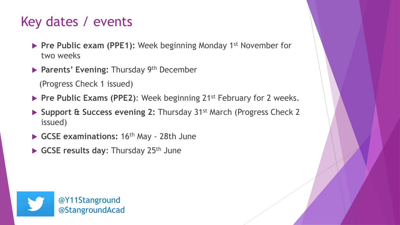#### Key dates / events

- **Pre Public exam (PPE1):** Week beginning Monday 1<sup>st</sup> November for two weeks
- **Parents' Evening: Thursday 9th December**

(Progress Check 1 issued)

- **Pre Public Exams (PPE2):** Week beginning 21<sup>st</sup> February for 2 weeks.
- ▶ Support & Success evening 2: Thursday 31<sup>st</sup> March (Progress Check 2) issued)
- GCSE examinations: 16<sup>th</sup> May 28th June
- GCSE results day: Thursday 25<sup>th</sup> June

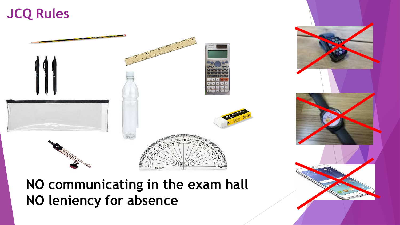#### **JCQ Rules**



**NO communicating in the exam hall NO leniency for absence**

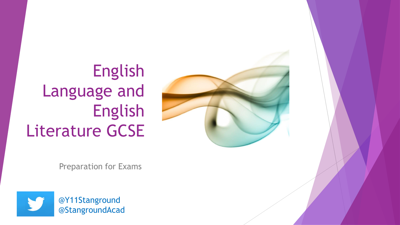



Preparation for Exams

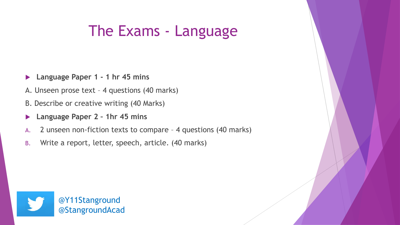#### The Exams - Language

- **Language Paper 1 - 1 hr 45 mins**
- A. Unseen prose text 4 questions (40 marks)
- B. Describe or creative writing (40 Marks)
- **Language Paper 2 – 1hr 45 mins**
- A. 2 unseen non-fiction texts to compare 4 questions (40 marks)
- B. Write a report, letter, speech, article. (40 marks)

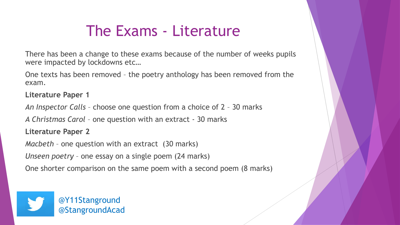#### The Exams - Literature

There has been a change to these exams because of the number of weeks pupils were impacted by lockdowns etc…

One texts has been removed – the poetry anthology has been removed from the exam.

**Literature Paper 1**

*An Inspector Calls* – choose one question from a choice of 2 – 30 marks

*A Christmas Carol* – one question with an extract - 30 marks

**Literature Paper 2**

*Macbeth* – one question with an extract (30 marks)

*Unseen poetry* – one essay on a single poem (24 marks)

One shorter comparison on the same poem with a second poem (8 marks)

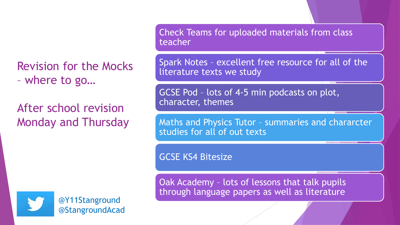Revision for the Mocks – where to go…

After school revision Monday and Thursday Check Teams for uploaded materials from class teacher

Spark Notes – excellent free resource for all of the literature texts we study

GCSE Pod – lots of 4-5 min podcasts on plot, character, themes

Maths and Physics Tutor – summaries and chararcter studies for all of out texts

GCSE KS4 Bitesize

Oak Academy – lots of lessons that talk pupils through language papers as well as literature



@Y11Stanground @StangroundAcad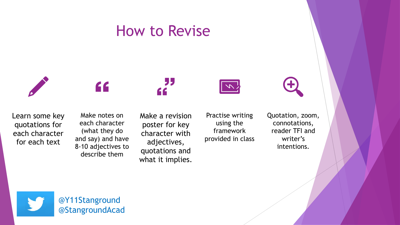#### How to Revise



"





Make notes on each character (what they do and say) and have 8-10 adjectives to describe them

Make a revision poster for key character with adjectives, quotations and what it implies.

Practise writing using the framework provided in class Quotation, zoom, connotations, reader TFI and writer's intentions.

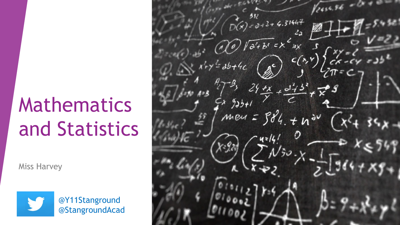# Mathematics and Statistics

Miss Harvey



@Y11Stanground @StangroundAcad

 $y_{2454}$  $+6.31447$  $\widehat{a^{\prime}+b^{\prime}}=$  $C(x, Y)$  $*$  $9351$ men =  $584.7n$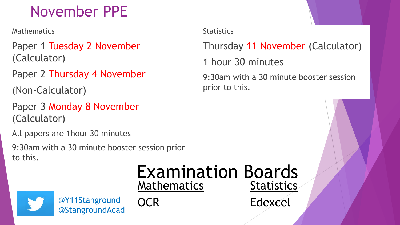## November PPE

Mathematics

Paper 1 Tuesday 2 November (Calculator)

Paper 2 Thursday 4 November

(Non-Calculator)

Paper 3 Monday 8 November (Calculator)

All papers are 1hour 30 minutes

9:30am with a 30 minute booster session prior to this.

> Examination Boards **Mathematics Statistics**



@Y11Stanground OCR Edexcel @StangroundAcad

**OCR** 

#### **Statistics**

Thursday 11 November (Calculator)

1 hour 30 minutes

9:30am with a 30 minute booster session prior to this.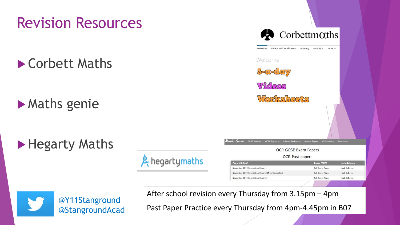#### Revision Resources

**Corbett Maths** 

**Maths genie** 

▶ Hegarty Maths







After school revision every Thursday from 3.15pm – 4pm

Past Paper Practice every Thursday from 4pm-4.45pm in B07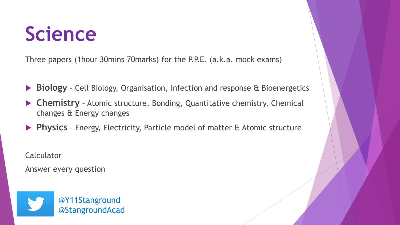# **Science**

Three papers (1hour 30mins 70marks) for the P.P.E. (a.k.a. mock exams)

- **Biology** Cell Biology, Organisation, Infection and response & Bioenergetics
- **Chemistry** Atomic structure, Bonding, Quantitative chemistry, Chemical changes & Energy changes
- **Physics** Energy, Electricity, Particle model of matter & Atomic structure

**Calculator** 

Answer every question

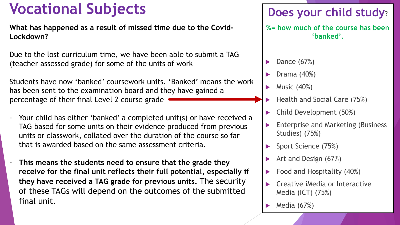### **Vocational Subjects Does your child study?**

**What has happened as a result of missed time due to the Covid-Lockdown?** 

Due to the lost curriculum time, we have been able to submit a TAG (teacher assessed grade) for some of the units of work

Students have now 'banked' coursework units. 'Banked' means the work has been sent to the examination board and they have gained a percentage of their final Level 2 course grade

- Your child has either 'banked' a completed unit(s) or have received a TAG based for some units on their evidence produced from previous units or classwork, collated over the duration of the course so far that is awarded based on the same assessment criteria.
- **This means the students need to ensure that the grade they receive for the final unit reflects their full potential, especially if they have received a TAG grade for previous units.** The security of these TAGs will depend on the outcomes of the submitted final unit.

**%= how much of the course has been 'banked'.** 

- Dance (67%)
- Drama (40%)
- $\blacktriangleright$  Music (40%)
- Health and Social Care (75%)
- Child Development (50%)
- Enterprise and Marketing (Business Studies) (75%)
- Sport Science (75%)
- Art and Design (67%)
- Food and Hospitality (40%)
- Creative iMedia or Interactive Media (ICT) (75%)
- Media (67%)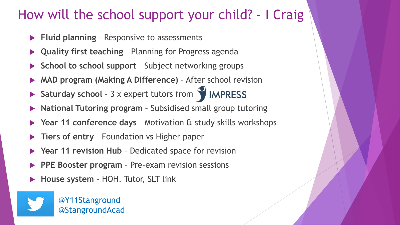#### How will the school support your child? - I Craig

- **Fluid planning**  Responsive to assessments
- **Quality first teaching**  Planning for Progress agenda
- **School to school support**  Subject networking groups
- **MAD program (Making A Difference)**  After school revision
- **Saturday school 3 x expert tutors from <b>WIMPRESS**
- **National Tutoring program** Subsidised small group tutoring
- **Year 11 conference days**  Motivation & study skills workshops
- **Tiers of entry**  Foundation vs Higher paper
- **Year 11 revision Hub**  Dedicated space for revision
- **PPE Booster program** Pre-exam revision sessions
- **House system**  HOH, Tutor, SLT link

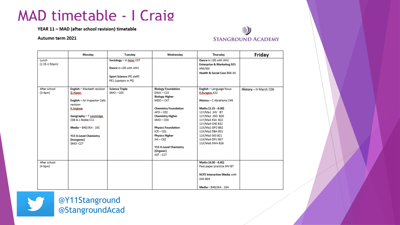#### MAD timetable - I Craig

YEAR 11 - MAD (after school revision) timetable

#### Autumn term 2021



|                          | Monday                                                                                                                                                                                                                                  | Tuesday                                                                                               | Wednesday                                                                                                                                                                                                                                                                                                              | Thursday                                                                                                                                                                                                                                                                | Friday                |
|--------------------------|-----------------------------------------------------------------------------------------------------------------------------------------------------------------------------------------------------------------------------------------|-------------------------------------------------------------------------------------------------------|------------------------------------------------------------------------------------------------------------------------------------------------------------------------------------------------------------------------------------------------------------------------------------------------------------------------|-------------------------------------------------------------------------------------------------------------------------------------------------------------------------------------------------------------------------------------------------------------------------|-----------------------|
| Lunch<br>$(1:15-1:55pm)$ |                                                                                                                                                                                                                                         | Sociology - H Aktar, CO7<br>Dance in c38 with AHU<br>Sport Science (PE staff)<br>PE1 (upstairs in PE) |                                                                                                                                                                                                                                                                                                                        | Dance in c38 with AHU<br><b>Enterprise &amp; Marketing B65</b><br>HNI/SGI<br>Health & Social Care B66 JKI                                                                                                                                                               |                       |
| After school<br>(3-4pm)  | English - Macbeth revision<br><b>G.Walsh.</b><br>English - An Inspector Calls<br>revision<br><b>KAREGUE</b><br>Geography - T Landridge<br>C08 & L Noble C11<br>Media - B40/JKA - 10C<br>Y13 A-Level Chemistry<br>(Inorganic)<br>SMO-C27 | <b>Science Triple</b><br>$SMO - CO3$                                                                  | <b>Biology Foundation</b><br>$DWA - C22$<br><b>Biology Higher</b><br>$MDO - C47$<br><b>Chemistry Foundation</b><br>$AFO - CO2$<br><b>Chemistry Higher</b><br>$SMO - CO3$<br><b>Physics Foundation</b><br>$ICR - CO1$<br><b>Physics Higher</b><br>$JHI - C62$<br>Y13 A-Level Chemistry<br>(Organic)<br><b>AST - C27</b> | English - Language focus<br>B.Burgess, A22<br>History - C Abrahams C49<br>Maths (3.15 - 4.00)<br>11Y/Ma1 JHV B7<br>11Y/Ma2 JDO B20<br>11Y/Ma3 KSA B22<br>11Y/Ma4 CHE B32<br>11X/Ma1 GFO B62<br>11X/Ma2 DBA B31<br>11X/Ma3 SKS B21<br>11X/Ma4 DFU B57<br>11X/Ma5 SWA B26 | History - H Marsh C06 |
| After school<br>(4-5pm)  |                                                                                                                                                                                                                                         |                                                                                                       |                                                                                                                                                                                                                                                                                                                        | Maths (4.00 - 4.45)<br>Past paper practice JHV B7<br><b>NCFE Interactive Media with</b><br>SWI B04<br>Media - B40/JKA - 10A                                                                                                                                             |                       |



@Y11Stanground @StangroundAcad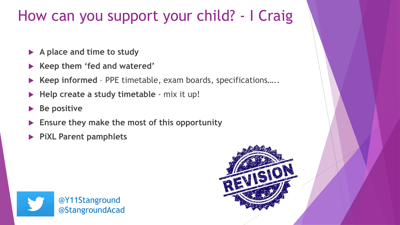#### How can you support your child? - I Craig

- **A place and time to study**
- **Keep them 'fed and watered'**
- **Keep informed**  PPE timetable, exam boards, specifications…..
- **Help create a study timetable**  mix it up!
- **Be positive**
- **Ensure they make the most of this opportunity**
- **PiXL Parent pamphlets**



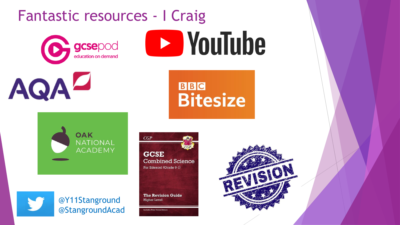#### Fantastic resources - I Craig















cludes Free Online Edition

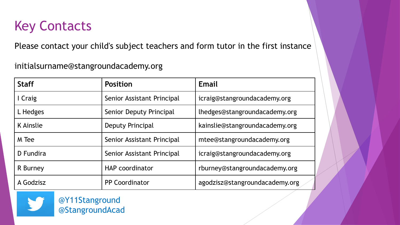#### Key Contacts

Please contact your child's subject teachers and form tutor in the first instance

initialsurname@stangroundacademy.org

| <b>Staff</b> | <b>Position</b>            | Email                          |  |
|--------------|----------------------------|--------------------------------|--|
| I Craig      | Senior Assistant Principal | icraig@stangroundacademy.org   |  |
| L Hedges     | Senior Deputy Principal    | lhedges@stangroundacademy.org  |  |
| K Ainslie    | Deputy Principal           | kainslie@stangroundacademy.org |  |
| M Tee        | Senior Assistant Principal | mtee@stangroundacademy.org     |  |
| D Fundira    | Senior Assistant Principal | icraig@stangroundacademy.org   |  |
| R Burney     | <b>HAP</b> coordinator     | rburney@stangroundacademy.org  |  |
| A Godzisz    | <b>PP Coordinator</b>      | agodzisz@stangroundacademy.org |  |